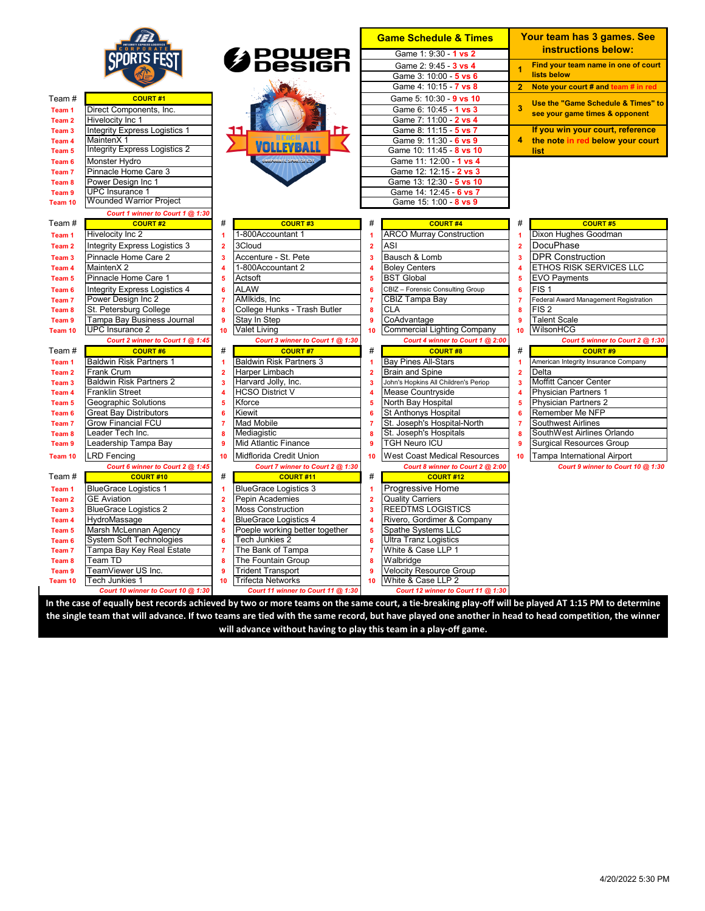

## Team # **COURT #1 Team 1** Direct Components, Inc.<br>**Team 2** Hivelocity Inc 1 **Hivelocity Inc 1**

**Team 3 Team 4 Team 5 Team 6 Team 7 Team 8** Team 9 **Team 10** 

| Integrity Express Logistics 1        |
|--------------------------------------|
| MaintenX 1                           |
| <b>Integrity Express Logistics 2</b> |
| Monster Hydro                        |
| Pinnacle Home Care 3                 |
| Power Design Inc 1                   |
| <b>UPC</b> Insurance 1               |
| <b>Wounded Warrior Project</b>       |
|                                      |

## *Court 1 winner to Court 1 @ 1:30*

| Team #            | <b>COURT#2</b>                   | #  | <b>COURT#3</b>                   | #                       | <b>COURT#4</b>                       | #              | <b>COURT#5</b>                        |
|-------------------|----------------------------------|----|----------------------------------|-------------------------|--------------------------------------|----------------|---------------------------------------|
| Team <sub>1</sub> | Hivelocity Inc 2                 |    | 1-800Accountant 1                | 1                       | <b>ARCO Murray Construction</b>      | ٩              | Dixon Hughes Goodman                  |
| Team <sub>2</sub> | Integrity Express Logistics 3    | 2  | 3Cloud                           | $\overline{2}$          | <b>ASI</b>                           | $\overline{2}$ | DocuPhase                             |
| Team <sub>3</sub> | Pinnacle Home Care 2             | з  | Accenture - St. Pete             | 3                       | Bausch & Lomb                        | 3              | <b>DPR Construction</b>               |
| Team 4            | MaintenX2                        |    | 1-800Accountant 2                | 4                       | <b>Boley Centers</b>                 | 4              | <b>ETHOS RISK SERVICES LLC</b>        |
| Team <sub>5</sub> | Pinnacle Home Care 1             | 5  | Actsoft                          | 5                       | <b>BST Global</b>                    | 5              | <b>EVO Payments</b>                   |
| Team <sub>6</sub> | Integrity Express Logistics 4    |    | <b>ALAW</b>                      | 6                       | CBIZ - Forensic Consulting Group     | 6              | FIS <sub>1</sub>                      |
| Team <sub>7</sub> | Power Desian Inc 2               |    | AMIkids, Inc                     | 7                       | CBIZ Tampa Bay                       | 7              | Federal Award Management Registration |
| Team <sub>8</sub> | St. Petersburg College           |    | College Hunks - Trash Butler     | 8                       | <b>CLA</b>                           | 8              | FIS <sub>2</sub>                      |
| Team <sub>9</sub> | Tampa Bay Business Journal       |    | Stay In Step                     | g                       | CoAdvantage                          | 9              | <b>Talent Scale</b>                   |
| Team 10           | UPC Insurance 2                  | 10 | <b>Valet Living</b>              | 10                      | <b>Commercial Lighting Company</b>   | 10             | WilsonHCG                             |
|                   | Court 2 winner to Court 1 @ 1:45 |    | Court 3 winner to Court 1 @ 1:30 |                         | Court 4 winner to Court 1 @ 2:00     |                | Court 5 winner to Court 2 @           |
| Team #            | <b>COURT#6</b>                   | #  | <b>COURT#7</b>                   | #                       | <b>COURT#8</b>                       | #              | <b>COURT#9</b>                        |
| Team <sub>1</sub> | <b>Baldwin Risk Partners 1</b>   |    | <b>Baldwin Risk Partners 3</b>   | 1                       | <b>Bay Pines All-Stars</b>           | ٩              | American Integrity Insurance Company  |
| Team <sub>2</sub> | Frank Crum                       | 2  | Harper Limbach                   | $\overline{2}$          | <b>Brain and Spine</b>               | $\overline{2}$ | Delta                                 |
| Team <sub>3</sub> | <b>Baldwin Risk Partners 2</b>   |    | Harvard Jolly, Inc.              | з                       | John's Hopkins All Children's Periop | 3              | <b>Moffitt Cancer Center</b>          |
| Team <sub>4</sub> | <b>Franklin Street</b>           |    | <b>HCSO District V</b>           | 4                       | <b>Mease Countryside</b>             | 4              | <b>Physician Partners 1</b>           |
| Team <sub>5</sub> | Geographic Solutions             | Б  | Kforce                           | 5                       | North Bay Hospital                   | 5              | <b>Physician Partners 2</b>           |
| Team 6            | <b>Great Bay Distributors</b>    |    | Kiewit                           | 6                       | <b>St Anthonys Hospital</b>          | 6              | Remember Me NFP                       |
| Team <sub>7</sub> | <b>Grow Financial FCU</b>        |    | <b>Mad Mobile</b>                | 7                       | St. Joseph's Hospital-North          | 7              | <b>Southwest Airlines</b>             |
| Team 8            | Leader Tech Inc.                 |    | Mediagistic                      | 8                       | St. Joseph's Hospitals               | 8              | SouthWest Airlines Orlando            |
| Team <sub>9</sub> | Leadership Tampa Bay             | g  | Mid Atlantic Finance             | 9                       | <b>TGH Neuro ICU</b>                 | 9              | <b>Surgical Resources Group</b>       |
| Team 10           | <b>LRD</b> Fencing               | 10 | Midflorida Credit Union          | 10                      | <b>West Coast Medical Resources</b>  | 10             | Tampa International Airport           |
|                   | Court 6 winner to Court 2 @ 1:45 |    | Court 7 winner to Court 2 @ 1:30 |                         | Court 8 winner to Court 2 @ 2:00     |                | Court 9 winner to Court 10 @          |
| Team#             | <b>COURT#10</b>                  | #  | <b>COURT#11</b>                  | #                       | <b>COURT#12</b>                      |                |                                       |
| Team 1            | <b>BlueGrace Logistics 1</b>     |    | <b>BlueGrace Logistics 3</b>     | 1                       | Progressive Home                     |                |                                       |
| Team <sub>2</sub> | <b>GE Aviation</b>               | 2  | Pepin Academies                  | $\overline{\mathbf{2}}$ | <b>Quality Carriers</b>              |                |                                       |
| Team <sub>3</sub> | <b>BlueGrace Logistics 2</b>     |    | <b>Moss Construction</b>         | 3                       | <b>REEDTMS LOGISTICS</b>             |                |                                       |
| Team 4            | HydroMassage                     |    | <b>BlueGrace Logistics 4</b>     | 4                       | Rivero, Gordimer & Company           |                |                                       |
| Team <sub>5</sub> | Marsh McLennan Agency            |    | Poeple working better together   | 5                       | Spathe Systems LLC                   |                |                                       |
| Team <sub>6</sub> | <b>System Soft Technologies</b>  | 6  | Tech Junkies 2                   | 6                       | <b>Ultra Tranz Logistics</b>         |                |                                       |
| Team <sub>7</sub> | Tampa Bay Key Real Estate        |    | The Bank of Tampa                | 7                       | White & Case LLP 1                   |                |                                       |
| Team 8            | Team TD                          |    | The Fountain Group               | 8                       | Walbridge                            |                |                                       |
| Team <sub>9</sub> | eamViewer US Inc.                |    | <b>Trident Transport</b>         | g                       | <b>Velocity Resource Group</b>       |                |                                       |
| Team 10           | Tech Junkies 1                   | 10 | <b>Trifecta Networks</b>         | 10                      | White & Case LLP 2                   |                |                                       |





| <b>Game Schedule &amp; Times</b> |
|----------------------------------|
| Game 1: 9:30 - 1 vs 2            |
| Game 2: 9:45 - 3 vs 4            |
| Game 3: 10:00 - 5 vs 6           |
| Game 4: 10:15 - 7 vs 8           |
| Game 5: 10:30 - 9 vs 10          |
| Game 6: 10:45 - 1 vs 3           |
| Game 7: 11:00 - 2 vs 4           |
| Game 8: 11:15 - 5 vs 7           |
| Game 9: 11:30 - 6 vs 9           |
| Game 10: 11:45 - 8 vs 10         |
| Game 11: 12:00 - 1 vs 4          |
| Game 12: 12:15 - 2 vs 3          |
| Game 13: 12:30 - 5 vs 10         |
| Game 14: 12:45 - 6 vs 7          |
| Game 15: 1:00 - 8 vs 9           |
|                                  |

|                | Your team has 3 games. See<br>instructions below:                            |
|----------------|------------------------------------------------------------------------------|
|                | Find your team name in one of court<br>lists below                           |
| $\overline{2}$ | Note your court # and team # in red                                          |
| 3              | Use the "Game Schedule & Times" to<br>see your game times & opponent         |
|                | If you win your court, reference<br>the note in red below your court<br>list |

| <b>COURT #3</b>                  | #              | <b>COURT #4</b>                      | #              | <b>COURT #5</b>                       |
|----------------------------------|----------------|--------------------------------------|----------------|---------------------------------------|
| Accountant 1                     | 1              | <b>ARCO Murray Construction</b>      | 1              | Dixon Hughes Goodman                  |
| ıd                               | $\overline{2}$ | <b>ASI</b>                           | $\overline{2}$ | <b>DocuPhase</b>                      |
| nture - St. Pete                 | 3              | Bausch & Lomb                        | 3              | <b>DPR Construction</b>               |
| Accountant 2                     | 4              | <b>Boley Centers</b>                 | 4              | <b>ETHOS RISK SERVICES LLC</b>        |
| <sub>oft</sub>                   | 5              | <b>BST Global</b>                    | 5              | <b>EVO Payments</b>                   |
| V                                | 6              | CBIZ - Forensic Consulting Group     | 6              | FIS <sub>1</sub>                      |
| ids, Inc                         | 7              | CBIZ Tampa Bay                       | 7              | Federal Award Management Registration |
| ge Hunks - Trash Butler          | 8              | <b>CLA</b>                           | 8              | FIS <sub>2</sub>                      |
| In Step                          | 9              | CoAdvantage                          | 9              | <b>Talent Scale</b>                   |
| Living                           | 10             | <b>Commercial Lighting Company</b>   | 10             | WilsonHCG                             |
| Court 3 winner to Court 1 @ 1:30 |                | Court 4 winner to Court 1 @ 2:00     |                | Court 5 winner to Court 2 @ 1:30      |
| <b>COURT#7</b>                   | #              | <b>COURT#8</b>                       | #              | <b>COURT#9</b>                        |
| vin Risk Partners 3              | 1              | <b>Bay Pines All-Stars</b>           | 1              | American Integrity Insurance Company  |
| er Limbach                       | $\overline{2}$ | <b>Brain and Spine</b>               | 2              | Delta                                 |
| ard Jolly, Inc.                  | 3              | John's Hopkins All Children's Periop | 3              | <b>Moffitt Cancer Center</b>          |
| O District V                     | 4              | <b>Mease Countryside</b>             | 4              | <b>Physician Partners 1</b>           |
| е                                | 5              | North Bay Hospital                   | 5              | <b>Physician Partners 2</b>           |
|                                  | 6              | <b>St Anthonys Hospital</b>          | 6              | Remember Me NFP                       |
| Mobile                           | 7              | St. Joseph's Hospital-North          | 7              | <b>Southwest Airlines</b>             |
| aqistic                          | 8              | St. Joseph's Hospitals               | 8              | SouthWest Airlines Orlando            |
| <b>stlantic Finance</b>          | 9              | <b>TGH Neuro ICU</b>                 | 9              | <b>Surgical Resources Group</b>       |
| orida Credit Union               | 10             | <b>West Coast Medical Resources</b>  | 10             | <b>Tampa International Airport</b>    |
| Court 7 winner to Court 2 @ 1:30 |                | Court 8 winner to Court 2 @ 2:00     |                | Court 9 winner to Court 10 @ 1:30     |
| <b>COURT#11</b>                  | #              | <b>COURT#12</b>                      |                |                                       |
| Grace Logistics 3                | 1              | Progressive Home                     |                |                                       |
| <b>Academies</b>                 | $\overline{2}$ | <b>Quality Carriers</b>              |                |                                       |
| Construction                     | 3              | <b>REEDTMS LOGISTICS</b>             |                |                                       |
| Grace Logistics 4                | 4              | Rivero, Gordimer & Company           |                |                                       |
| le working better together       | 5              | Spathe Systems LLC                   |                |                                       |
| Junkies 2                        | 6              | <b>Ultra Tranz Logistics</b>         |                |                                       |
| Bank of Tampa                    | 7              | White & Case LLP 1                   |                |                                       |
| Fountain Group                   | 8              | Walbridge                            |                |                                       |
| nt Transport                     | 9              | <b>Velocity Resource Group</b>       |                |                                       |

| Ž                                         | DocuPhase                                                     |
|-------------------------------------------|---------------------------------------------------------------|
| š                                         | <b>DPR Construction</b>                                       |
| ļ                                         | <b>ETHOS RISK SERVICES LLC</b>                                |
| 5                                         | EVO Payments                                                  |
| ì                                         | FIS <sub>1</sub>                                              |
| ľ                                         | Federal Award Management Registration                         |
| 3                                         | FIS <sub>2</sub>                                              |
| j                                         | <b>Talent Scale</b>                                           |
| Ō                                         | WilsonHCG                                                     |
|                                           | Court 5 winner to Court 2 @ 1:30                              |
| ŧ                                         | <b>COURT#9</b>                                                |
|                                           |                                                               |
|                                           | American Integrity Insurance Company                          |
|                                           | Delta                                                         |
|                                           | <b>Moffitt Cancer Center</b>                                  |
|                                           | <b>Physician Partners 1</b>                                   |
|                                           | <b>Physician Partners 2</b>                                   |
|                                           | Remember Me NFP                                               |
|                                           | <b>Southwest Airlines</b>                                     |
|                                           | SouthWest Airlines Orlando                                    |
|                                           | <b>Surgical Resources Group</b>                               |
| ì<br>ì<br>ļ<br>5<br>ì<br>7<br>3<br>j<br>O | Tampa International Airport<br>and and and and and and and an |

*Court 12 winner to Court 11 @ 1:30* **In the case of equally best records achieved by two or more teams on the same court, a tie-breaking play-off will be played AT 1:15 PM to determine the single team that will advance. If two teams are tied with the same record, but have played one another in head to head competition, the winner will advance without having to play this team in a play-off game.**  *Court 10 winner to Court 10 @ 1:30 Court 11 winner to Court 11 @ 1:30*